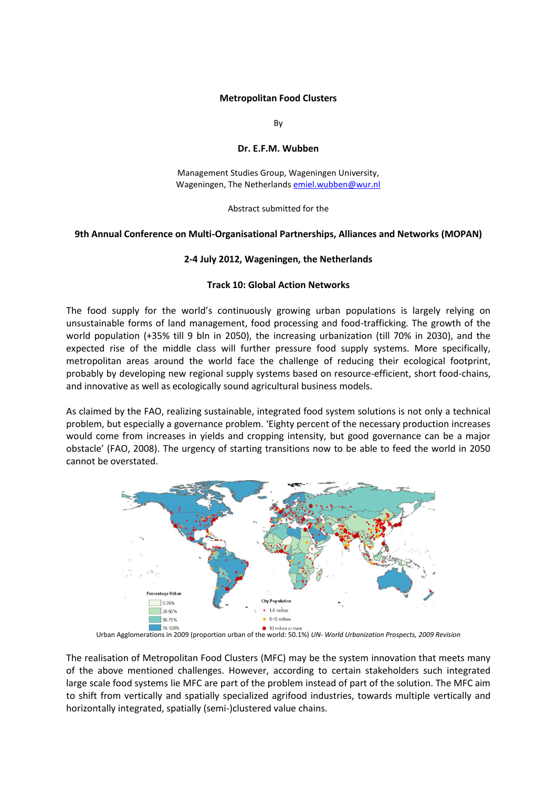#### **Metropolitan Food Clusters**

By

# **Dr. E.F.M. Wubben**

Management Studies Group, Wageningen University, Wageningen, The Netherlands [emiel.wubben@wur.nl](mailto:emiel.wubben@wur.nl) 

Abstract submitted for the

# **9th Annual Conference on Multi-Organisational Partnerships, Alliances and Networks (MOPAN)**

#### **2-4 July 2012, Wageningen, the Netherlands**

# **Track 10: Global Action Networks**

The food supply for the world's continuously growing urban populations is largely relying on unsustainable forms of land management, food processing and food-trafficking. The growth of the world population (+35% till 9 bln in 2050), the increasing urbanization (till 70% in 2030), and the expected rise of the middle class will further pressure food supply systems. More specifically, metropolitan areas around the world face the challenge of reducing their ecological footprint, probably by developing new regional supply systems based on resource-efficient, short food-chains, and innovative as well as ecologically sound agricultural business models.

As claimed by the FAO, realizing sustainable, integrated food system solutions is not only a technical problem, but especially a governance problem. 'Eighty percent of the necessary production increases would come from increases in yields and cropping intensity, but good governance can be a major obstacle' (FAO, 2008). The urgency of starting transitions now to be able to feed the world in 2050 cannot be overstated.



Urban Agglomerations in 2009 (proportion urban of the world: 50.1%) *UN- World Urbanization Prospects, 2009 Revision*

The realisation of Metropolitan Food Clusters (MFC) may be the system innovation that meets many of the above mentioned challenges. However, according to certain stakeholders such integrated large scale food systems lie MFC are part of the problem instead of part of the solution. The MFC aim to shift from vertically and spatially specialized agrifood industries, towards multiple vertically and horizontally integrated, spatially (semi-)clustered value chains.